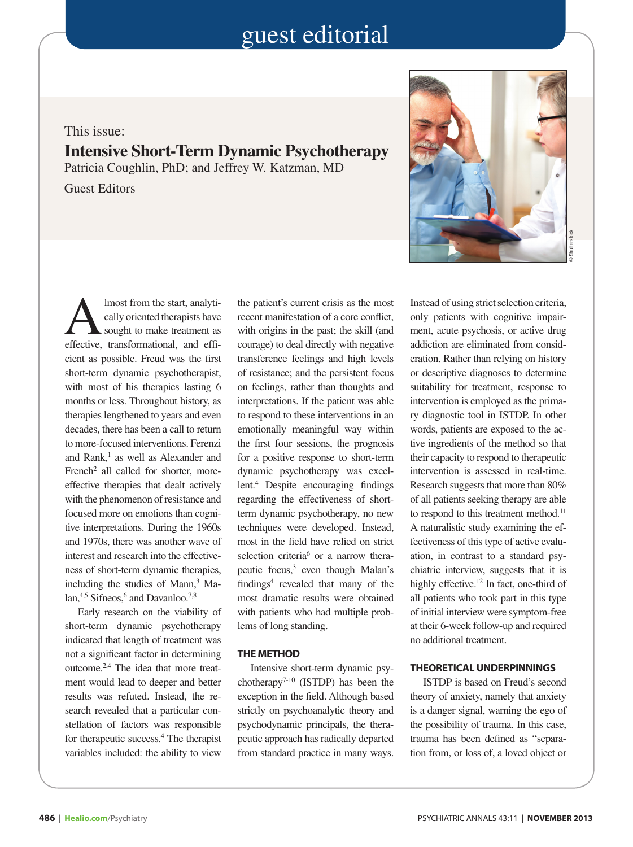# guest editorial

# This issue:

**Intensive Short-Term Dynamic Psychotherapy** 

Patricia Coughlin, PhD; and Jeffrey W. Katzman, MD

Guest Editors

Almost from the start, analytically oriented therapists have<br>sought to make treatment as cally oriented therapists have sought to make treatment as effective, transformational, and efficient as possible. Freud was the first short-term dynamic psychotherapist, with most of his therapies lasting 6 months or less. Throughout history, as therapies lengthened to years and even decades, there has been a call to return to more-focused interventions. Ferenzi and Rank,<sup>1</sup> as well as Alexander and French<sup>2</sup> all called for shorter, moreeffective therapies that dealt actively with the phenomenon of resistance and focused more on emotions than cognitive interpretations. During the 1960s and 1970s, there was another wave of interest and research into the effectiveness of short-term dynamic therapies, including the studies of Mann,<sup>3</sup> Malan,<sup>4,5</sup> Sifneos,<sup>6</sup> and Davanloo.<sup>7,8</sup>

Early research on the viability of short-term dynamic psychotherapy indicated that length of treatment was not a significant factor in determining outcome.2,4 The idea that more treatment would lead to deeper and better results was refuted. Instead, the research revealed that a particular constellation of factors was responsible for therapeutic success.<sup>4</sup> The therapist variables included: the ability to view

the patient's current crisis as the most recent manifestation of a core conflict, with origins in the past; the skill (and courage) to deal directly with negative transference feelings and high levels of resistance; and the persistent focus on feelings, rather than thoughts and interpretations. If the patient was able to respond to these interventions in an emotionally meaningful way within the first four sessions, the prognosis for a positive response to short-term dynamic psychotherapy was excellent.4 Despite encouraging findings regarding the effectiveness of shortterm dynamic psychotherapy, no new techniques were developed. Instead, most in the field have relied on strict selection criteria<sup>6</sup> or a narrow therapeutic focus,<sup>3</sup> even though Malan's findings<sup>4</sup> revealed that many of the most dramatic results were obtained with patients who had multiple problems of long standing.

#### **THE METHOD**

Intensive short-term dynamic psychotherapy<sup>7-10</sup> (ISTDP) has been the exception in the field. Although based strictly on psychoanalytic theory and psychodynamic principals, the therapeutic approach has radically departed from standard practice in many ways.

Instead of using strict selection criteria, only patients with cognitive impairment, acute psychosis, or active drug addiction are eliminated from consideration. Rather than relying on history or descriptive diagnoses to determine suitability for treatment, response to intervention is employed as the primary diagnostic tool in ISTDP. In other words, patients are exposed to the active ingredients of the method so that their capacity to respond to therapeutic intervention is assessed in real-time. Research suggests that more than 80% of all patients seeking therapy are able to respond to this treatment method.<sup>11</sup> A naturalistic study examining the effectiveness of this type of active evaluation, in contrast to a standard psychiatric interview, suggests that it is highly effective.<sup>12</sup> In fact, one-third of all patients who took part in this type of initial interview were symptom-free at their 6-week follow-up and required no additional treatment.

### **THEORETICAL UNDERPINNINGS**

ISTDP is based on Freud's second theory of anxiety, namely that anxiety is a danger signal, warning the ego of the possibility of trauma. In this case, trauma has been defined as "separation from, or loss of, a loved object or

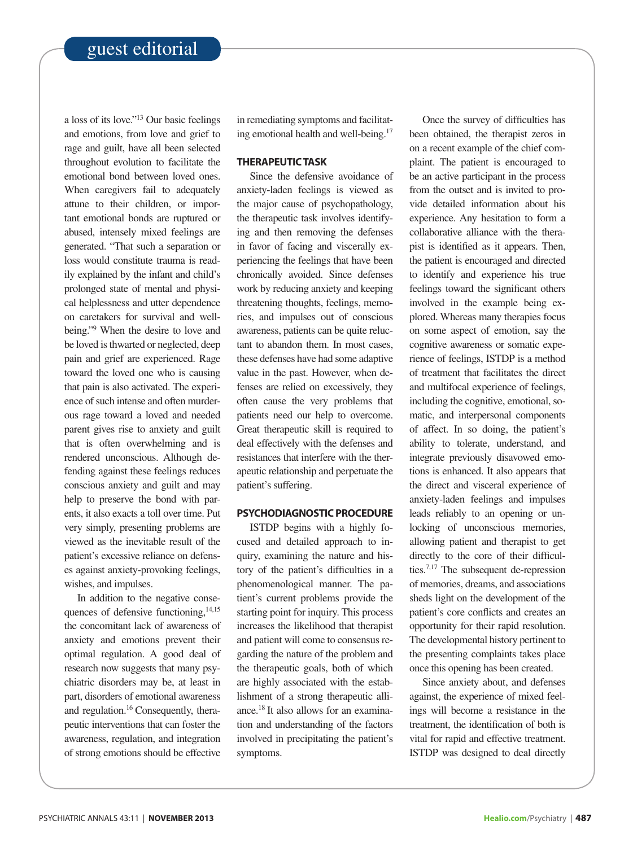a loss of its love."13 Our basic feelings and emotions, from love and grief to rage and guilt, have all been selected throughout evolution to facilitate the emotional bond between loved ones. When caregivers fail to adequately attune to their children, or important emotional bonds are ruptured or abused, intensely mixed feelings are generated. "That such a separation or loss would constitute trauma is readily explained by the infant and child's prolonged state of mental and physical helplessness and utter dependence on caretakers for survival and wellbeing."9 When the desire to love and be loved is thwarted or neglected, deep pain and grief are experienced. Rage toward the loved one who is causing that pain is also activated. The experience of such intense and often murderous rage toward a loved and needed parent gives rise to anxiety and guilt that is often overwhelming and is rendered unconscious. Although defending against these feelings reduces conscious anxiety and guilt and may help to preserve the bond with parents, it also exacts a toll over time. Put very simply, presenting problems are viewed as the inevitable result of the patient's excessive reliance on defenses against anxiety-provoking feelings, wishes, and impulses.

In addition to the negative consequences of defensive functioning, $14,15$ the concomitant lack of awareness of anxiety and emotions prevent their optimal regulation. A good deal of research now suggests that many psychiatric disorders may be, at least in part, disorders of emotional awareness and regulation.16 Consequently, therapeutic interventions that can foster the awareness, regulation, and integration of strong emotions should be effective in remediating symptoms and facilitating emotional health and well-being.17

### **THERAPEUTIC TASK**

Since the defensive avoidance of anxiety-laden feelings is viewed as the major cause of psychopathology, the therapeutic task involves identifying and then removing the defenses in favor of facing and viscerally experiencing the feelings that have been chronically avoided. Since defenses work by reducing anxiety and keeping threatening thoughts, feelings, memories, and impulses out of conscious awareness, patients can be quite reluctant to abandon them. In most cases, these defenses have had some adaptive value in the past. However, when defenses are relied on excessively, they often cause the very problems that patients need our help to overcome. Great therapeutic skill is required to deal effectively with the defenses and resistances that interfere with the therapeutic relationship and perpetuate the patient's suffering.

#### **PSYCHODIAGNOSTIC PROCEDURE**

ISTDP begins with a highly focused and detailed approach to inquiry, examining the nature and history of the patient's difficulties in a phenomenological manner. The patient's current problems provide the starting point for inquiry. This process increases the likelihood that therapist and patient will come to consensus regarding the nature of the problem and the therapeutic goals, both of which are highly associated with the establishment of a strong therapeutic alliance.18 It also allows for an examination and understanding of the factors involved in precipitating the patient's symptoms.

Once the survey of difficulties has been obtained, the therapist zeros in on a recent example of the chief complaint. The patient is encouraged to be an active participant in the process from the outset and is invited to provide detailed information about his experience. Any hesitation to form a collaborative alliance with the therapist is identified as it appears. Then, the patient is encouraged and directed to identify and experience his true feelings toward the significant others involved in the example being explored. Whereas many therapies focus on some aspect of emotion, say the cognitive awareness or somatic experience of feelings, ISTDP is a method of treatment that facilitates the direct and multifocal experience of feelings, including the cognitive, emotional, somatic, and interpersonal components of affect. In so doing, the patient's ability to tolerate, understand, and integrate previously disavowed emotions is enhanced. It also appears that the direct and visceral experience of anxiety-laden feelings and impulses leads reliably to an opening or unlocking of unconscious memories, allowing patient and therapist to get directly to the core of their difficulties.7,17 The subsequent de-repression of memories, dreams, and associations sheds light on the development of the patient's core conflicts and creates an opportunity for their rapid resolution. The developmental history pertinent to the presenting complaints takes place once this opening has been created.

Since anxiety about, and defenses against, the experience of mixed feelings will become a resistance in the treatment, the identification of both is vital for rapid and effective treatment. ISTDP was designed to deal directly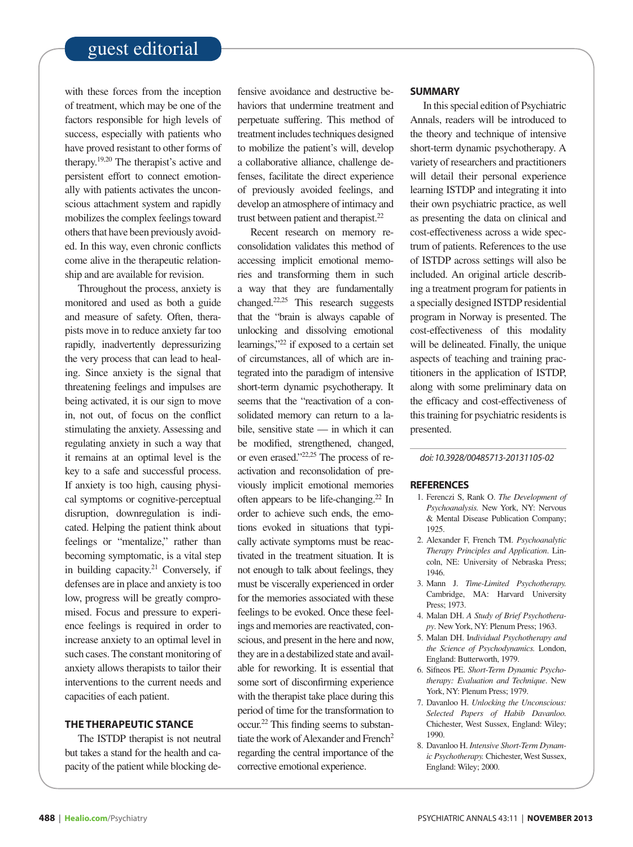with these forces from the inception of treatment, which may be one of the factors responsible for high levels of success, especially with patients who have proved resistant to other forms of therapy.19,20 The therapist's active and persistent effort to connect emotionally with patients activates the unconscious attachment system and rapidly mobilizes the complex feelings toward others that have been previously avoided. In this way, even chronic conflicts come alive in the therapeutic relationship and are available for revision.

Throughout the process, anxiety is monitored and used as both a guide and measure of safety. Often, therapists move in to reduce anxiety far too rapidly, inadvertently depressurizing the very process that can lead to healing. Since anxiety is the signal that threatening feelings and impulses are being activated, it is our sign to move in, not out, of focus on the conflict stimulating the anxiety. Assessing and regulating anxiety in such a way that it remains at an optimal level is the key to a safe and successful process. If anxiety is too high, causing physical symptoms or cognitive-perceptual disruption, downregulation is indicated. Helping the patient think about feelings or "mentalize," rather than becoming symptomatic, is a vital step in building capacity.<sup>21</sup> Conversely, if defenses are in place and anxiety is too low, progress will be greatly compromised. Focus and pressure to experience feelings is required in order to increase anxiety to an optimal level in such cases. The constant monitoring of anxiety allows therapists to tailor their interventions to the current needs and capacities of each patient.

#### **THE THERAPEUTIC STANCE**

The ISTDP therapist is not neutral but takes a stand for the health and capacity of the patient while blocking defensive avoidance and destructive behaviors that undermine treatment and perpetuate suffering. This method of treatment includes techniques designed to mobilize the patient's will, develop a collaborative alliance, challenge defenses, facilitate the direct experience of previously avoided feelings, and develop an atmosphere of intimacy and trust between patient and therapist.<sup>22</sup>

Recent research on memory reconsolidation validates this method of accessing implicit emotional memories and transforming them in such a way that they are fundamentally changed.22,25 This research suggests that the "brain is always capable of unlocking and dissolving emotional learnings,"22 if exposed to a certain set of circumstances, all of which are integrated into the paradigm of intensive short-term dynamic psychotherapy. It seems that the "reactivation of a consolidated memory can return to a labile, sensitive state — in which it can be modified, strengthened, changed, or even erased."22,25 The process of reactivation and reconsolidation of previously implicit emotional memories often appears to be life-changing.22 In order to achieve such ends, the emotions evoked in situations that typically activate symptoms must be reactivated in the treatment situation. It is not enough to talk about feelings, they must be viscerally experienced in order for the memories associated with these feelings to be evoked. Once these feelings and memories are reactivated, conscious, and present in the here and now, they are in a destabilized state and available for reworking. It is essential that some sort of disconfirming experience with the therapist take place during this period of time for the transformation to occur.22 This finding seems to substantiate the work of Alexander and French<sup>2</sup> regarding the central importance of the corrective emotional experience.

#### **SUMMARY**

In this special edition of Psychiatric Annals, readers will be introduced to the theory and technique of intensive short-term dynamic psychotherapy. A variety of researchers and practitioners will detail their personal experience learning ISTDP and integrating it into their own psychiatric practice, as well as presenting the data on clinical and cost-effectiveness across a wide spectrum of patients. References to the use of ISTDP across settings will also be included. An original article describing a treatment program for patients in a specially designed ISTDP residential program in Norway is presented. The cost-effectiveness of this modality will be delineated. Finally, the unique aspects of teaching and training practitioners in the application of ISTDP, along with some preliminary data on the efficacy and cost-effectiveness of this training for psychiatric residents is presented.

*doi: 10.3928/00485713-20131105-02*

#### **REFERENCES**

- 1. Ferenczi S, Rank O. *The Development of Psychoanalysis.* New York, NY: Nervous & Mental Disease Publication Company; 1925.
- 2. Alexander F, French TM. *Psychoanalytic Therapy Principles and Application*. Lincoln, NE: University of Nebraska Press; 1946.
- 3. Mann J. *Time-Limited Psychotherapy.* Cambridge, MA: Harvard University Press; 1973.
- 4. Malan DH. *A Study of Brief Psychotherapy*. New York, NY: Plenum Press; 1963.
- 5. Malan DH. I*ndividual Psychotherapy and the Science of Psychodynamics.* London, England: Butterworth, 1979.
- 6. Sifneos PE. *Short-Term Dynamic Psychotherapy: Evaluation and Technique*. New York, NY: Plenum Press; 1979.
- 7. Davanloo H. *Unlocking the Unconscious: Selected Papers of Habib Davanloo.* Chichester, West Sussex, England: Wiley; 1990.
- 8. Davanloo H. *Intensive Short-Term Dynamic Psychotherapy.* Chichester, West Sussex, England: Wiley; 2000.